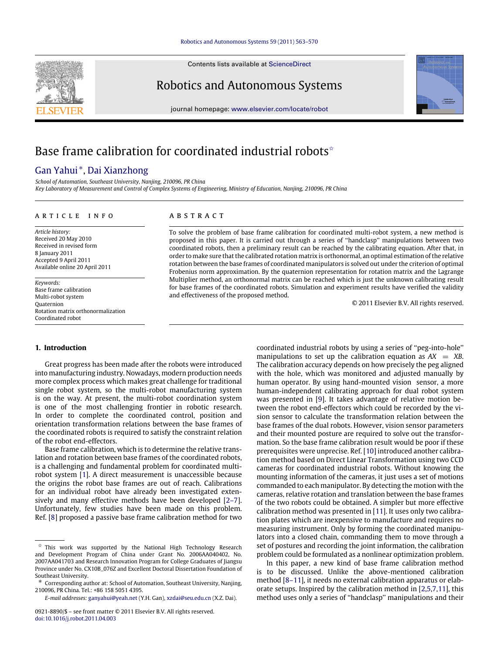Contents lists available at [ScienceDirect](http://www.elsevier.com/locate/robot)

## Robotics and Autonomous Systems

journal homepage: [www.elsevier.com/locate/robot](http://www.elsevier.com/locate/robot)

# Base frame calibration for coordinated industrial robots<sup> $\hat{\star}$ </sup>

## [Gan Yahui](#page--1-0) [∗](#page-0-1) , [Dai Xianzhong](#page--1-1)

*School of Automation, Southeast University, Nanjing, 210096, PR China Key Laboratory of Measurement and Control of Complex Systems of Engineering, Ministry of Education, Nanjing, 210096, PR China*

#### ARTICLE INFO

*Article history:* Received 20 May 2010 Received in revised form 8 January 2011 Accepted 9 April 2011 Available online 20 April 2011

*Keywords:* Base frame calibration Multi-robot system Quaternion Rotation matrix orthonormalization Coordinated robot

### a b s t r a c t

To solve the problem of base frame calibration for coordinated multi-robot system, a new method is proposed in this paper. It is carried out through a series of ''handclasp'' manipulations between two coordinated robots, then a preliminary result can be reached by the calibrating equation. After that, in order to make sure that the calibrated rotation matrix is orthonormal, an optimal estimation of the relative rotation between the base frames of coordinated manipulators is solved out under the criterion of optimal Frobenius norm approximation. By the quaternion representation for rotation matrix and the Lagrange Multiplier method, an orthonormal matrix can be reached which is just the unknown calibrating result for base frames of the coordinated robots. Simulation and experiment results have verified the validity and effectiveness of the proposed method.

© 2011 Elsevier B.V. All rights reserved.

### **1. Introduction**

Great progress has been made after the robots were introduced into manufacturing industry. Nowadays, modern production needs more complex process which makes great challenge for traditional single robot system, so the multi-robot manufacturing system is on the way. At present, the multi-robot coordination system is one of the most challenging frontier in robotic research. In order to complete the coordinated control, position and orientation transformation relations between the base frames of the coordinated robots is required to satisfy the constraint relation of the robot end-effectors.

Base frame calibration, which is to determine the relative translation and rotation between base frames of the coordinated robots, is a challenging and fundamental problem for coordinated multirobot system [\[1\]](#page--1-2). A direct measurement is unaccessible because the origins the robot base frames are out of reach. Calibrations for an individual robot have already been investigated extensively and many effective methods have been developed [\[2–7\]](#page--1-3). Unfortunately, few studies have been made on this problem. Ref. [\[8\]](#page--1-4) proposed a passive base frame calibration method for two manipulations to set up the calibration equation as  $AX = XB$ . The calibration accuracy depends on how precisely the peg aligned with the hole, which was monitored and adjusted manually by human operator. By using hand-mounted vision sensor, a more human-independent calibrating approach for dual robot system was presented in [\[9\]](#page--1-5). It takes advantage of relative motion between the robot end-effectors which could be recorded by the vision sensor to calculate the transformation relation between the base frames of the dual robots. However, vision sensor parameters and their mounted posture are required to solve out the transformation. So the base frame calibration result would be poor if these prerequisites were unprecise. Ref. [\[10\]](#page--1-6) introduced another calibration method based on Direct Linear Transformation using two CCD cameras for coordinated industrial robots. Without knowing the mounting information of the cameras, it just uses a set of motions commanded to each manipulator. By detecting the motion with the cameras, relative rotation and translation between the base frames of the two robots could be obtained. A simpler but more effective calibration method was presented in [\[11\]](#page--1-7). It uses only two calibration plates which are inexpensive to manufacture and requires no measuring instrument. Only by forming the coordinated manipulators into a closed chain, commanding them to move through a set of postures and recording the joint information, the calibration problem could be formulated as a nonlinear optimization problem. In this paper, a new kind of base frame calibration method

coordinated industrial robots by using a series of ''peg-into-hole''

is to be discussed. Unlike the above-mentioned calibration method [\[8–11\]](#page--1-4), it needs no external calibration apparatus or elaborate setups. Inspired by the calibration method in [\[2,](#page--1-3)[5,](#page--1-8)[7](#page--1-9)[,11\]](#page--1-7), this method uses only a series of ''handclasp'' manipulations and their





<span id="page-0-0"></span> $\overrightarrow{x}$  This work was supported by the National High Technology Research and Development Program of China under Grant No. 2006AA040402, No. 2007AA041703 and Research Innovation Program for College Graduates of Jiangsu Province under No. CX10B\_076Z and Excellent Doctoral Dissertation Foundation of Southeast University.

<span id="page-0-1"></span>Corresponding author at: School of Automation, Southeast University, Nanjing, 210096, PR China. Tel.: +86 158 5051 4395.

*E-mail addresses:* [ganyahui@yeah.net](mailto:ganyahui@yeah.net) (Y.H. Gan), [xzdai@seu.edu.cn](mailto:xzdai@seu.edu.cn) (X.Z. Dai).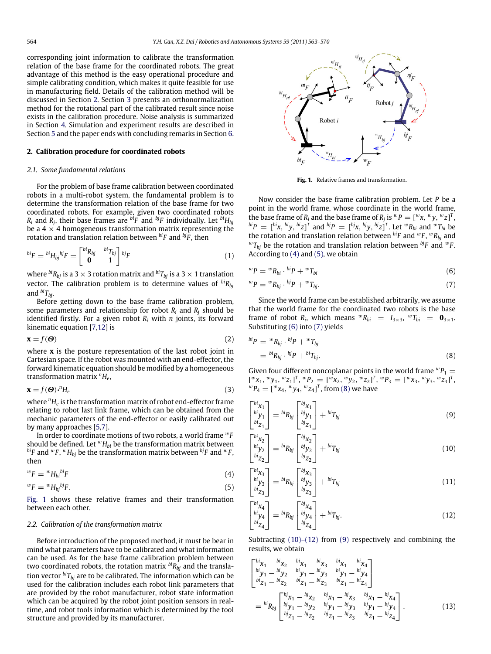corresponding joint information to calibrate the transformation relation of the base frame for the coordinated robots. The great advantage of this method is the easy operational procedure and simple calibrating condition, which makes it quite feasible for use in manufacturing field. Details of the calibration method will be discussed in Section [2.](#page-1-0) Section [3](#page--1-10) presents an orthonormalization method for the rotational part of the calibrated result since noise exists in the calibration procedure. Noise analysis is summarized in Section [4.](#page--1-11) Simulation and experiment results are described in Section [5](#page--1-12) and the paper ends with concluding remarks in Section [6.](#page--1-13)

#### <span id="page-1-0"></span>**2. Calibration procedure for coordinated robots**

#### *2.1. Some fundamental relations*

For the problem of base frame calibration between coordinated robots in a multi-robot system, the fundamental problem is to determine the transformation relation of the base frame for two coordinated robots. For example, given two coordinated robots  $R_i$  and  $R_j$ , their base frames are  $^{bi}F$  and  $^{bj}F$  individually. Let  $^{bi}H_{bj}$ be a  $4 \times 4$  homogeneous transformation matrix representing the rotation and translation relation between *biF* and *bjF* , then

$$
^{bi}F = {^{bi}H_{bj}}^{bj}F = \begin{bmatrix} {^{bi}R_{bj}} & {^{bi}T_{bj}} \\ \mathbf{0} & 1 \end{bmatrix} {^{bj}F}
$$
 (1)

where  $\phi^i R_{bj}$  is a 3  $\times$  3 rotation matrix and  $\phi^i T_{bj}$  is a 3  $\times$  1 translation vector. The calibration problem is to determine values of *biRbj* and  $\frac{bi}{T_{bi}}$ .

Before getting down to the base frame calibration problem, some parameters and relationship for robot  $R_i$  and  $R_j$  should be identified firstly. For a given robot  $R_i$  with  $n$  joints, its forward kinematic equation [\[7](#page--1-9)[,12\]](#page--1-14) is

$$
\mathbf{x} = f(\boldsymbol{\Theta}) \tag{2}
$$

where **x** is the posture representation of the last robot joint in Cartesian space. If the robot was mounted with an end-effector, the forward kinematic equation should be modified by a homogeneous transformation matrix *<sup>n</sup>H<sup>e</sup>* ,

$$
\mathbf{x} = f(\boldsymbol{\Theta}) \cdot {}^{n}H_{e} \tag{3}
$$

where *<sup>n</sup>H<sup>e</sup>* is the transformation matrix of robot end-effector frame relating to robot last link frame, which can be obtained from the mechanic parameters of the end-effector or easily calibrated out by many approaches [\[5](#page--1-8)[,7\]](#page--1-9).

In order to coordinate motions of two robots, a world frame <sup>w</sup>*F* should be defined. Let  $^{w}H_{bi}$  be the transformation matrix between  $^{bi}F$  and  $^{w}F$  ,  $^{w}H_{bj}$  be the transformation matrix between  $^{bj}F$  and  $^{w}F$  , then

$$
{}^{w}F = {}^{w}H_{bi}{}^{bi}F \tag{4}
$$

$$
{}^{w}F = {}^{w}H_{bj}{}^{bj}F. \tag{5}
$$

[Fig. 1](#page-1-1) shows these relative frames and their transformation between each other.

#### *2.2. Calibration of the transformation matrix*

Before introduction of the proposed method, it must be bear in mind what parameters have to be calibrated and what information can be used. As for the base frame calibration problem between two coordinated robots, the rotation matrix *biRbj* and the translation vector  $\frac{b_i}{r_{b_i}}$  are to be calibrated. The information which can be used for the calibration includes each robot link parameters that are provided by the robot manufacturer, robot state information which can be acquired by the robot joint position sensors in realtime, and robot tools information which is determined by the tool structure and provided by its manufacturer.

<span id="page-1-1"></span>

<span id="page-1-5"></span><span id="page-1-4"></span>**Fig. 1.** Relative frames and transformation.

Now consider the base frame calibration problem. Let *P* be a point in the world frame, whose coordinate in the world frame, the base frame of  $R_i$  and the base frame of  $R_j$  is  ${}^w P = [{}^w x, {}^w y, {}^w z]$ <sup>T</sup>,  ${}^{bi}P = [{}^{bi}x, {}^{bi}y, {}^{bi}z]^{T}$  and  ${}^{bj}P = [{}^{bj}x, {}^{bj}y, {}^{bj}z]^{T}$ . Let  ${}^{w}R_{bi}$  and  ${}^{w}T_{bi}$  be the rotation and translation relation between *biF* and <sup>w</sup>*F* , <sup>w</sup>*Rbj* and  ${}^wT_{bi}$  be the rotation and translation relation between  ${}^{bj}F$  and  ${}^wF$ . According to [\(4\)](#page-1-2) and [\(5\),](#page-1-3) we obtain

$$
{}^{w}P = {}^{w}R_{bi} \cdot {}^{bi}P + {}^{w}T_{bi} \tag{6}
$$

$$
{}^{w}P = {}^{w}R_{bj} \cdot {}^{bj}P + {}^{w}T_{bj}.
$$

Since the world frame can be established arbitrarily, we assume that the world frame for the coordinated two robots is the base frame of robot  $R_i$ , which means  ${}^w R_{bi} = I_{3 \times 3}$ ,  ${}^w T_{bi} = \mathbf{0}_{3 \times 1}$ . Substituting [\(6\)](#page-1-4) into [\(7\)](#page-1-5) yields

<span id="page-1-6"></span>
$$
^{bi}P = {}^{w}R_{bj} \cdot {}^{bj}P + {}^{w}T_{bj}
$$
  

$$
= {}^{bi}R_{bj} \cdot {}^{bj}P + {}^{bi}T_{bj}.
$$
 (8)

Given four different noncoplanar points in the world frame  ${}^wP_1$  =  $\left[ {^w x_1, {^w y_1, {^w z_1}} \right]^T, {^w P_2} = \left[ {^w x_2, {^w y_2, {^w z_2}} \right]^T, {^w P_3} = \left[ {^w x_3, {^w y_3, {^w z_3}} \right]^T}$  ${}^{w}P_{4} = [{}^{w}x_{4}, {}^{w}y_{4}, {}^{w}z_{4}]^{T}$ , from [\(8\)](#page-1-6) we have

<span id="page-1-8"></span>
$$
\begin{bmatrix} bi_{\chi_1} \\ bi_{\chi_1} \\ bi_{\chi_1} \end{bmatrix} = bi_{R_{bj}} \begin{bmatrix} bj_{\chi_1} \\ bj_{\chi_1} \\ bi_{\chi_1} \end{bmatrix} + bi_{T_{bj}} \tag{9}
$$

<span id="page-1-7"></span>
$$
\begin{bmatrix} bi_{\chi_2} \\ bi_{\chi_2} \\ bi_{\chi_2} \end{bmatrix} = bi_{R_{bj}} \begin{bmatrix} bj_{\chi_2} \\ bj_{\chi_2} \\ bi_{\chi_2} \end{bmatrix} + bi_{T_{bj}} \tag{10}
$$

<span id="page-1-3"></span><span id="page-1-2"></span>
$$
\begin{bmatrix} bi_{\chi_3} \\ bi_{\chi_3} \\ bi_{\chi_3} \end{bmatrix} = bi_{R_{bj}} \begin{bmatrix} bj_{\chi_3} \\ bj_{\chi_3} \\ bi_{\chi_3} \end{bmatrix} + bi_{T_{bj}} \tag{11}
$$

$$
\begin{bmatrix} bi_{X_4} \\ bi_{Y_4} \\ bi_{Z_4} \end{bmatrix} = bi_{R_{bj}} \begin{bmatrix} bj_{X_4} \\ bj_{Y_4} \\ bj_{Z_4} \end{bmatrix} + bi_{T_{bj}}.
$$
\n(12)

Subtracting  $(10)$ – $(12)$  from  $(9)$  respectively and combining the results, we obtain

$$
\begin{bmatrix}\nbi_{X_1} - bi_{X_2} & bi_{X_1} - bi_{X_3} & bi_{X_1} - bi_{X_4} \\
bi_{y_1} - bi_{y_2} & bi_{y_1} - bi_{y_3} & bi_{y_1} - bi_{y_4} \\
bi_{Z_1} - bi_{Z_2} & bi_{Z_1} - bi_{Z_3} & bi_{Z_1} - bi_{Z_4}\n\end{bmatrix}
$$
\n
$$
= {^{bi}R_{bj}} \begin{bmatrix}\nbi_{X_1} - bi_{X_2} & ib_{X_1} - bj_{X_3} & bi_{X_1} - bj_{X_4} \\
bi_{y_1} - bj_{y_2} & bj_{y_1} - bj_{y_3} & bj_{y_1} - bj_{y_4} \\
bi_{Z_1} - bj_{Z_2} & bj_{Z_1} - bj_{Z_3} & bj_{Z_1} - bj_{Z_4}\n\end{bmatrix}.
$$
\n(13)